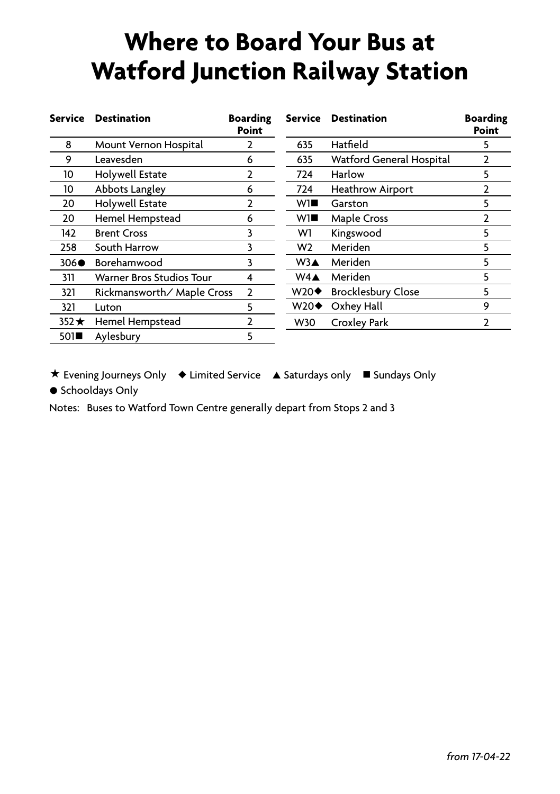## **Where to Board Your Bus at Watford Junction Railway Station**

| <b>Service</b> | <b>Destination</b>              | <b>Boarding</b><br>Point |                    | Service Destination             | <b>Boarding</b><br>Point |
|----------------|---------------------------------|--------------------------|--------------------|---------------------------------|--------------------------|
| 8              | Mount Vernon Hospital           |                          | 635                | Hatfield                        | 5                        |
| 9              | Leavesden                       | 6                        | 635                | <b>Watford General Hospital</b> |                          |
| 10             | Holywell Estate                 | $\overline{2}$           | 724                | Harlow                          | 5                        |
| 10             | Abbots Langley                  | 6                        | 724                | <b>Heathrow Airport</b>         |                          |
| 20             | Holywell Estate                 | 2                        | W1∎                | Garston                         | 5                        |
| 20             | Hemel Hempstead                 | 6                        | wı∎                | <b>Maple Cross</b>              |                          |
| 142            | <b>Brent Cross</b>              | 3                        | W1                 | Kingswood                       | 5                        |
| 258            | South Harrow                    | 3                        | W <sub>2</sub>     | Meriden                         | 5                        |
| $306\bullet$   | Borehamwood                     | 3                        | W3▲                | Meriden                         | 5                        |
| 311            | <b>Warner Bros Studios Tour</b> | 4                        | $W4\triangle$      | Meriden                         | 5                        |
| 321            | Rickmansworth/Maple Cross       | $\overline{2}$           | W20♦               | <b>Brocklesbury Close</b>       | 5                        |
| 321            | Luton                           | 5                        | $W20\blacklozenge$ | Oxhey Hall                      | 9                        |
| $352 \star$    | Hemel Hempstead                 | 2                        | <b>W30</b>         | Croxley Park                    | 2                        |
| 501            | Aylesbury                       | 5                        |                    |                                 |                          |

\* Evening Journeys Only \* Limited Service A Saturdays only I Sundays Only

**•** Schooldays Only

Notes: Buses to Watford Town Centre generally depart from Stops 2 and 3